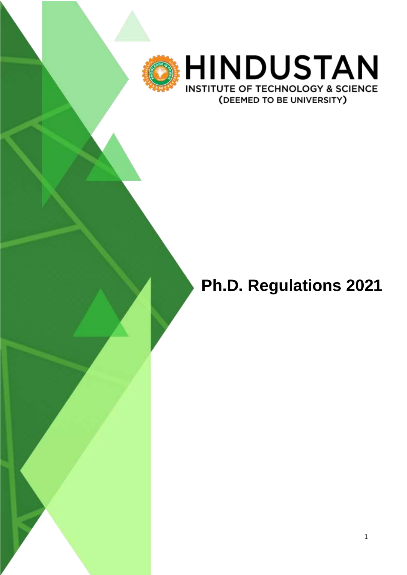

# **Ph.D. Regulations 2021**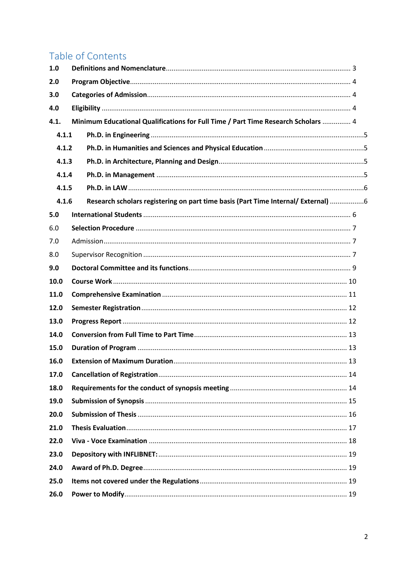# Table of Contents

| 1.0   |  |                                                                                   |  |  |  |  |
|-------|--|-----------------------------------------------------------------------------------|--|--|--|--|
| 2.0   |  |                                                                                   |  |  |  |  |
| 3.0   |  |                                                                                   |  |  |  |  |
| 4.0   |  |                                                                                   |  |  |  |  |
| 4.1.  |  | Minimum Educational Qualifications for Full Time / Part Time Research Scholars  4 |  |  |  |  |
| 4.1.1 |  |                                                                                   |  |  |  |  |
| 4.1.2 |  |                                                                                   |  |  |  |  |
| 4.1.3 |  |                                                                                   |  |  |  |  |
| 4.1.4 |  |                                                                                   |  |  |  |  |
| 4.1.5 |  |                                                                                   |  |  |  |  |
| 4.1.6 |  | Research scholars registering on part time basis (Part Time Internal/ External) 6 |  |  |  |  |
| 5.0   |  |                                                                                   |  |  |  |  |
| 6.0   |  |                                                                                   |  |  |  |  |
| 7.0   |  |                                                                                   |  |  |  |  |
| 8.0   |  |                                                                                   |  |  |  |  |
| 9.0   |  |                                                                                   |  |  |  |  |
| 10.0  |  |                                                                                   |  |  |  |  |
| 11.0  |  |                                                                                   |  |  |  |  |
| 12.0  |  |                                                                                   |  |  |  |  |
| 13.0  |  |                                                                                   |  |  |  |  |
| 14.0  |  |                                                                                   |  |  |  |  |
| 15.0  |  |                                                                                   |  |  |  |  |
| 16.0  |  |                                                                                   |  |  |  |  |
| 17.0  |  |                                                                                   |  |  |  |  |
| 18.0  |  |                                                                                   |  |  |  |  |
| 19.0  |  |                                                                                   |  |  |  |  |
| 20.0  |  |                                                                                   |  |  |  |  |
| 21.0  |  |                                                                                   |  |  |  |  |
| 22.0  |  |                                                                                   |  |  |  |  |
| 23.0  |  |                                                                                   |  |  |  |  |
| 24.0  |  |                                                                                   |  |  |  |  |
| 25.0  |  |                                                                                   |  |  |  |  |
| 26.0  |  |                                                                                   |  |  |  |  |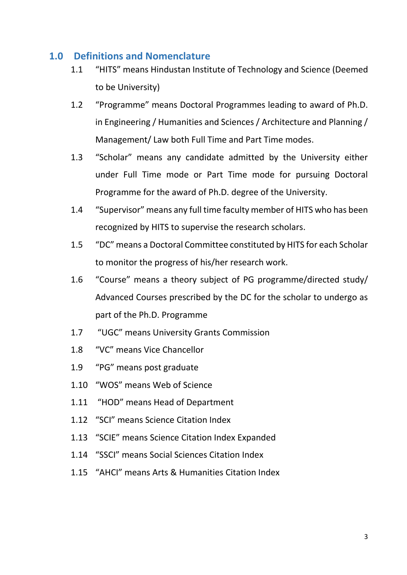#### <span id="page-2-0"></span>**1.0 Definitions and Nomenclature**

- 1.1 "HITS" means Hindustan Institute of Technology and Science (Deemed to be University)
- 1.2 "Programme" means Doctoral Programmes leading to award of Ph.D. in Engineering / Humanities and Sciences / Architecture and Planning / Management/ Law both Full Time and Part Time modes.
- 1.3 "Scholar" means any candidate admitted by the University either under Full Time mode or Part Time mode for pursuing Doctoral Programme for the award of Ph.D. degree of the University.
- 1.4 "Supervisor" means any full time faculty member of HITS who has been recognized by HITS to supervise the research scholars.
- 1.5 "DC" means a Doctoral Committee constituted by HITS for each Scholar to monitor the progress of his/her research work.
- 1.6 "Course" means a theory subject of PG programme/directed study/ Advanced Courses prescribed by the DC for the scholar to undergo as part of the Ph.D. Programme
- 1.7 "UGC" means University Grants Commission
- 1.8 "VC" means Vice Chancellor
- 1.9 "PG" means post graduate
- 1.10 "WOS" means Web of Science
- 1.11 "HOD" means Head of Department
- 1.12 "SCI" means Science Citation Index
- 1.13 "SCIE" means Science Citation Index Expanded
- 1.14 "SSCI" means Social Sciences Citation Index
- 1.15 "AHCI" means Arts & Humanities Citation Index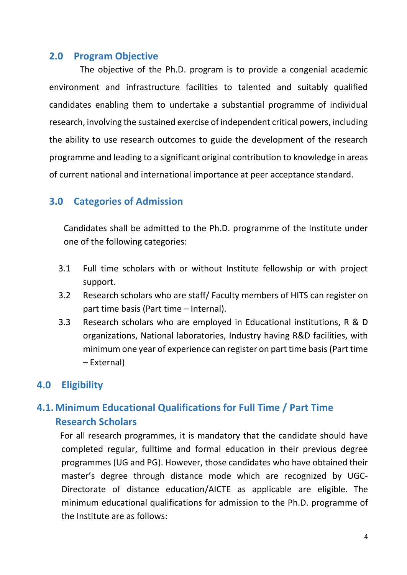#### <span id="page-3-0"></span>**2.0 Program Objective**

The objective of the Ph.D. program is to provide a congenial academic environment and infrastructure facilities to talented and suitably qualified candidates enabling them to undertake a substantial programme of individual research, involving the sustained exercise of independent critical powers, including the ability to use research outcomes to guide the development of the research programme and leading to a significant original contribution to knowledge in areas of current national and international importance at peer acceptance standard.

## <span id="page-3-1"></span>**3.0 Categories of Admission**

Candidates shall be admitted to the Ph.D. programme of the Institute under one of the following categories:

- 3.1 Full time scholars with or without Institute fellowship or with project support.
- 3.2 Research scholars who are staff/ Faculty members of HITS can register on part time basis (Part time – Internal).
- 3.3 Research scholars who are employed in Educational institutions, R & D organizations, National laboratories, Industry having R&D facilities, with minimum one year of experience can register on part time basis (Part time – External)

# <span id="page-3-2"></span>**4.0 Eligibility**

# <span id="page-3-3"></span>**4.1. Minimum Educational Qualifications for Full Time / Part Time Research Scholars**

 For all research programmes, it is mandatory that the candidate should have completed regular, fulltime and formal education in their previous degree programmes (UG and PG). However, those candidates who have obtained their master's degree through distance mode which are recognized by UGC-Directorate of distance education/AICTE as applicable are eligible. The minimum educational qualifications for admission to the Ph.D. programme of the Institute are as follows: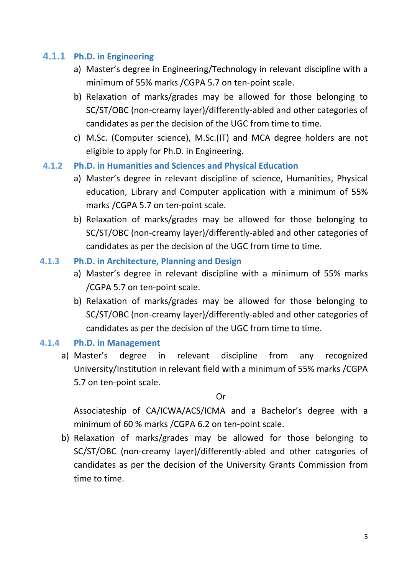#### <span id="page-4-0"></span>**4.1.1 Ph.D. in Engineering**

- a) Master's degree in Engineering/Technology in relevant discipline with a minimum of 55% marks /CGPA 5.7 on ten-point scale.
- b) Relaxation of marks/grades may be allowed for those belonging to SC/ST/OBC (non-creamy layer)/differently-abled and other categories of candidates as per the decision of the UGC from time to time.
- c) M.Sc. (Computer science), M.Sc.(IT) and MCA degree holders are not eligible to apply for Ph.D. in Engineering.

#### <span id="page-4-1"></span>**4.1.2 Ph.D. in Humanities and Sciences and Physical Education**

- a) Master's degree in relevant discipline of science, Humanities, Physical education, Library and Computer application with a minimum of 55% marks /CGPA 5.7 on ten-point scale.
- b) Relaxation of marks/grades may be allowed for those belonging to SC/ST/OBC (non-creamy layer)/differently-abled and other categories of candidates as per the decision of the UGC from time to time.

#### <span id="page-4-2"></span>**4.1.3 Ph.D. in Architecture, Planning and Design**

- a) Master's degree in relevant discipline with a minimum of 55% marks /CGPA 5.7 on ten-point scale.
- b) Relaxation of marks/grades may be allowed for those belonging to SC/ST/OBC (non-creamy layer)/differently-abled and other categories of candidates as per the decision of the UGC from time to time.

#### <span id="page-4-3"></span>**4.1.4 Ph.D. in Management**

a) Master's degree in relevant discipline from any recognized University/Institution in relevant field with a minimum of 55% marks /CGPA 5.7 on ten-point scale.

Or

Associateship of CA/ICWA/ACS/ICMA and a Bachelor's degree with a minimum of 60 % marks /CGPA 6.2 on ten-point scale.

b) Relaxation of marks/grades may be allowed for those belonging to SC/ST/OBC (non-creamy layer)/differently-abled and other categories of candidates as per the decision of the University Grants Commission from time to time.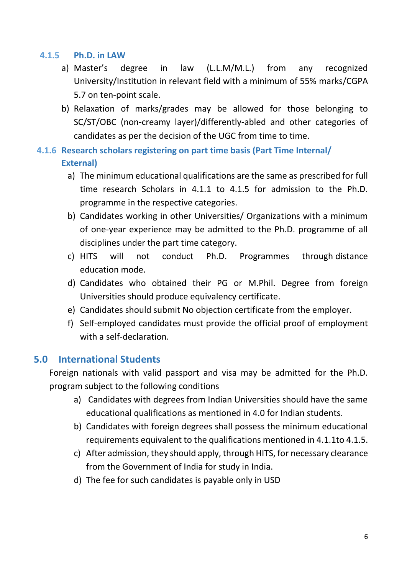#### <span id="page-5-0"></span>**4.1.5 Ph.D. in LAW**

- a) Master's degree in law (L.L.M/M.L.) from any recognized University/Institution in relevant field with a minimum of 55% marks/CGPA 5.7 on ten-point scale.
- b) Relaxation of marks/grades may be allowed for those belonging to SC/ST/OBC (non-creamy layer)/differently-abled and other categories of candidates as per the decision of the UGC from time to time.

# <span id="page-5-1"></span>**4.1.6 Research scholars registering on part time basis (Part Time Internal/ External)**

- a) The minimum educational qualifications are the same as prescribed for full time research Scholars in 4.1.1 to 4.1.5 for admission to the Ph.D. programme in the respective categories.
- b) Candidates working in other Universities/ Organizations with a minimum of one-year experience may be admitted to the Ph.D. programme of all disciplines under the part time category.
- c) HITS will not conduct Ph.D. Programmes through distance education mode.
- d) Candidates who obtained their PG or M.Phil. Degree from foreign Universities should produce equivalency certificate.
- e) Candidates should submit No objection certificate from the employer.
- f) Self-employed candidates must provide the official proof of employment with a self-declaration.

# <span id="page-5-2"></span>**5.0 International Students**

Foreign nationals with valid passport and visa may be admitted for the Ph.D. program subject to the following conditions

- a) Candidates with degrees from Indian Universities should have the same educational qualifications as mentioned in 4.0 for Indian students.
- b) Candidates with foreign degrees shall possess the minimum educational requirements equivalent to the qualifications mentioned in 4.1.1to 4.1.5.
- c) After admission, they should apply, through HITS, for necessary clearance from the Government of India for study in India.
- d) The fee for such candidates is payable only in USD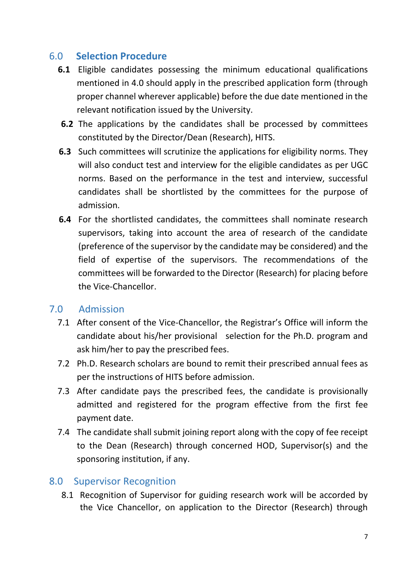# 6.0 **Selection Procedure**

- <span id="page-6-0"></span>**6.1** Eligible candidates possessing the minimum educational qualifications mentioned in 4.0 should apply in the prescribed application form (through proper channel wherever applicable) before the due date mentioned in the relevant notification issued by the University.
- **6.2** The applications by the candidates shall be processed by committees constituted by the Director/Dean (Research), HITS.
- **6.3** Such committees will scrutinize the applications for eligibility norms. They will also conduct test and interview for the eligible candidates as per UGC norms. Based on the performance in the test and interview, successful candidates shall be shortlisted by the committees for the purpose of admission.
- **6.4** For the shortlisted candidates, the committees shall nominate research supervisors, taking into account the area of research of the candidate (preference of the supervisor by the candidate may be considered) and the field of expertise of the supervisors. The recommendations of the committees will be forwarded to the Director (Research) for placing before the Vice-Chancellor.

#### <span id="page-6-1"></span>7.0 Admission

- 7.1 After consent of the Vice-Chancellor, the Registrar's Office will inform the candidate about his/her provisional selection for the Ph.D. program and ask him/her to pay the prescribed fees.
- 7.2 Ph.D. Research scholars are bound to remit their prescribed annual fees as per the instructions of HITS before admission.
- 7.3 After candidate pays the prescribed fees, the candidate is provisionally admitted and registered for the program effective from the first fee payment date.
- 7.4 The candidate shall submit joining report along with the copy of fee receipt to the Dean (Research) through concerned HOD, Supervisor(s) and the sponsoring institution, if any.

#### <span id="page-6-2"></span>8.0 Supervisor Recognition

8.1 Recognition of Supervisor for guiding research work will be accorded by the Vice Chancellor, on application to the Director (Research) through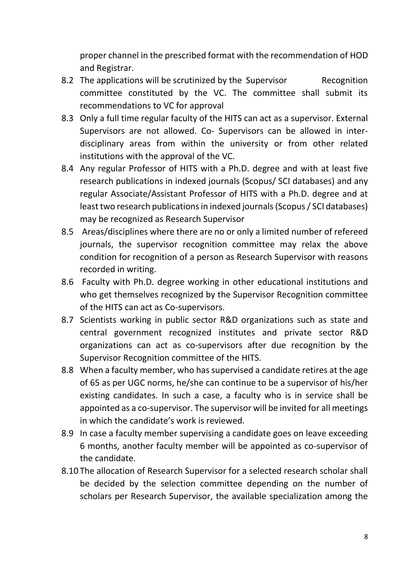proper channel in the prescribed format with the recommendation of HOD and Registrar.

- 8.2 The applications will be scrutinized by the Supervisor Recognition committee constituted by the VC. The committee shall submit its recommendations to VC for approval
- 8.3 Only a full time regular faculty of the HITS can act as a supervisor. External Supervisors are not allowed. Co- Supervisors can be allowed in interdisciplinary areas from within the university or from other related institutions with the approval of the VC.
- 8.4 Any regular Professor of HITS with a Ph.D. degree and with at least five research publications in indexed journals (Scopus/ SCI databases) and any regular Associate/Assistant Professor of HITS with a Ph.D. degree and at least two research publications in indexed journals(Scopus/ SCI databases) may be recognized as Research Supervisor
- 8.5 Areas/disciplines where there are no or only a limited number of refereed journals, the supervisor recognition committee may relax the above condition for recognition of a person as Research Supervisor with reasons recorded in writing.
- 8.6 Faculty with Ph.D. degree working in other educational institutions and who get themselves recognized by the Supervisor Recognition committee of the HITS can act as Co-supervisors.
- 8.7 Scientists working in public sector R&D organizations such as state and central government recognized institutes and private sector R&D organizations can act as co-supervisors after due recognition by the Supervisor Recognition committee of the HITS.
- 8.8 When a faculty member, who has supervised a candidate retires at the age of 65 as per UGC norms, he/she can continue to be a supervisor of his/her existing candidates. In such a case, a faculty who is in service shall be appointed as a co-supervisor. The supervisor will be invited for all meetings in which the candidate's work is reviewed.
- 8.9 In case a faculty member supervising a candidate goes on leave exceeding 6 months, another faculty member will be appointed as co-supervisor of the candidate.
- 8.10 The allocation of Research Supervisor for a selected research scholar shall be decided by the selection committee depending on the number of scholars per Research Supervisor, the available specialization among the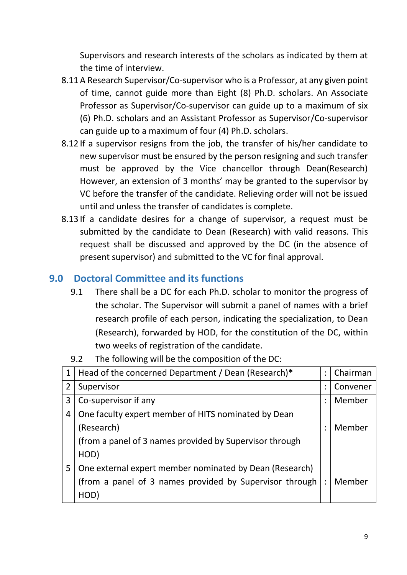Supervisors and research interests of the scholars as indicated by them at the time of interview.

- 8.11 A Research Supervisor/Co-supervisor who is a Professor, at any given point of time, cannot guide more than Eight (8) Ph.D. scholars. An Associate Professor as Supervisor/Co-supervisor can guide up to a maximum of six (6) Ph.D. scholars and an Assistant Professor as Supervisor/Co-supervisor can guide up to a maximum of four (4) Ph.D. scholars.
- 8.12 If a supervisor resigns from the job, the transfer of his/her candidate to new supervisor must be ensured by the person resigning and such transfer must be approved by the Vice chancellor through Dean(Research) However, an extension of 3 months' may be granted to the supervisor by VC before the transfer of the candidate. Relieving order will not be issued until and unless the transfer of candidates is complete.
- 8.13 If a candidate desires for a change of supervisor, a request must be submitted by the candidate to Dean (Research) with valid reasons. This request shall be discussed and approved by the DC (in the absence of present supervisor) and submitted to the VC for final approval.

# <span id="page-8-0"></span>**9.0 Doctoral Committee and its functions**

9.1 There shall be a DC for each Ph.D. scholar to monitor the progress of the scholar. The Supervisor will submit a panel of names with a brief research profile of each person, indicating the specialization, to Dean (Research), forwarded by HOD, for the constitution of the DC, within two weeks of registration of the candidate.

| 1 | Head of the concerned Department / Dean (Research)*     | $\bullet$ | Chairman |
|---|---------------------------------------------------------|-----------|----------|
| 2 | Supervisor                                              |           | Convener |
| 3 | Co-supervisor if any                                    |           | Member   |
| 4 | One faculty expert member of HITS nominated by Dean     |           |          |
|   | (Research)                                              |           | Member   |
|   | (from a panel of 3 names provided by Supervisor through |           |          |
|   | HOD)                                                    |           |          |
| 5 | One external expert member nominated by Dean (Research) |           |          |
|   | (from a panel of 3 names provided by Supervisor through |           | Member   |
|   | HOD)                                                    |           |          |

9.2 The following will be the composition of the DC: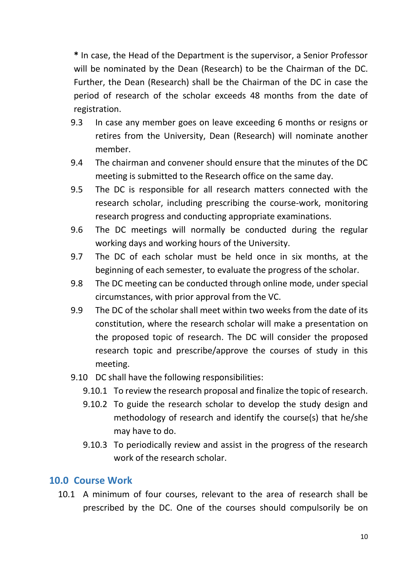**\*** In case, the Head of the Department is the supervisor, a Senior Professor will be nominated by the Dean (Research) to be the Chairman of the DC. Further, the Dean (Research) shall be the Chairman of the DC in case the period of research of the scholar exceeds 48 months from the date of registration.

- 9.3 In case any member goes on leave exceeding 6 months or resigns or retires from the University, Dean (Research) will nominate another member.
- 9.4 The chairman and convener should ensure that the minutes of the DC meeting is submitted to the Research office on the same day.
- 9.5 The DC is responsible for all research matters connected with the research scholar, including prescribing the course-work, monitoring research progress and conducting appropriate examinations.
- 9.6 The DC meetings will normally be conducted during the regular working days and working hours of the University.
- 9.7 The DC of each scholar must be held once in six months, at the beginning of each semester, to evaluate the progress of the scholar.
- 9.8 The DC meeting can be conducted through online mode, under special circumstances, with prior approval from the VC.
- 9.9 The DC of the scholar shall meet within two weeks from the date of its constitution, where the research scholar will make a presentation on the proposed topic of research. The DC will consider the proposed research topic and prescribe/approve the courses of study in this meeting.
- 9.10 DC shall have the following responsibilities:
	- 9.10.1 To review the research proposal and finalize the topic of research.
	- 9.10.2 To guide the research scholar to develop the study design and methodology of research and identify the course(s) that he/she may have to do.
	- 9.10.3 To periodically review and assist in the progress of the research work of the research scholar.

#### <span id="page-9-0"></span>**10.0 Course Work**

10.1 A minimum of four courses, relevant to the area of research shall be prescribed by the DC. One of the courses should compulsorily be on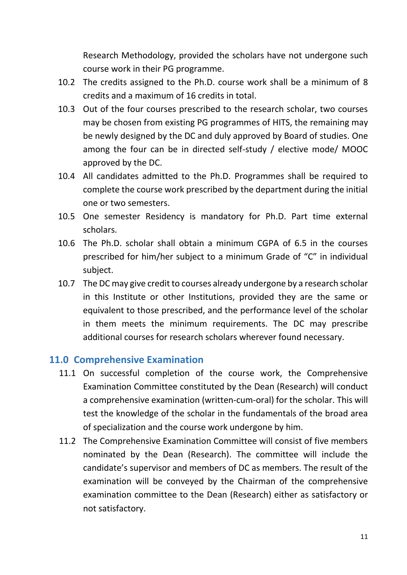Research Methodology, provided the scholars have not undergone such course work in their PG programme.

- 10.2 The credits assigned to the Ph.D. course work shall be a minimum of 8 credits and a maximum of 16 credits in total.
- 10.3 Out of the four courses prescribed to the research scholar, two courses may be chosen from existing PG programmes of HITS, the remaining may be newly designed by the DC and duly approved by Board of studies. One among the four can be in directed self-study / elective mode/ MOOC approved by the DC.
- 10.4 All candidates admitted to the Ph.D. Programmes shall be required to complete the course work prescribed by the department during the initial one or two semesters.
- 10.5 One semester Residency is mandatory for Ph.D. Part time external scholars.
- 10.6 The Ph.D. scholar shall obtain a minimum CGPA of 6.5 in the courses prescribed for him/her subject to a minimum Grade of "C" in individual subject.
- 10.7 The DC may give credit to courses already undergone by a research scholar in this Institute or other Institutions, provided they are the same or equivalent to those prescribed, and the performance level of the scholar in them meets the minimum requirements. The DC may prescribe additional courses for research scholars wherever found necessary.

#### <span id="page-10-0"></span>**11.0 Comprehensive Examination**

- 11.1 On successful completion of the course work, the Comprehensive Examination Committee constituted by the Dean (Research) will conduct a comprehensive examination (written-cum-oral) for the scholar. This will test the knowledge of the scholar in the fundamentals of the broad area of specialization and the course work undergone by him.
- 11.2 The Comprehensive Examination Committee will consist of five members nominated by the Dean (Research). The committee will include the candidate's supervisor and members of DC as members. The result of the examination will be conveyed by the Chairman of the comprehensive examination committee to the Dean (Research) either as satisfactory or not satisfactory.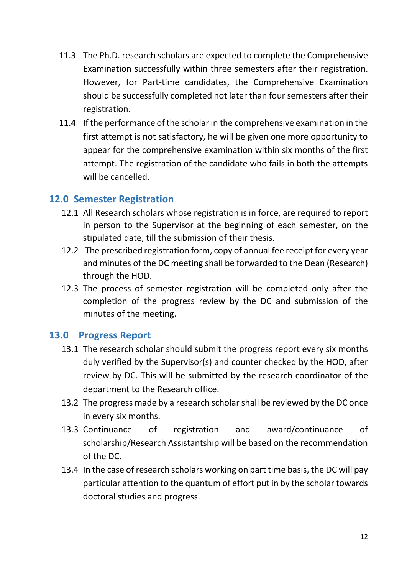- 11.3 The Ph.D. research scholars are expected to complete the Comprehensive Examination successfully within three semesters after their registration. However, for Part-time candidates, the Comprehensive Examination should be successfully completed not later than four semesters after their registration.
- 11.4 If the performance of the scholar in the comprehensive examination in the first attempt is not satisfactory, he will be given one more opportunity to appear for the comprehensive examination within six months of the first attempt. The registration of the candidate who fails in both the attempts will be cancelled.

#### <span id="page-11-0"></span>**12.0 Semester Registration**

- 12.1 All Research scholars whose registration is in force, are required to report in person to the Supervisor at the beginning of each semester, on the stipulated date, till the submission of their thesis.
- 12.2 The prescribed registration form, copy of annual fee receipt for every year and minutes of the DC meeting shall be forwarded to the Dean (Research) through the HOD.
- 12.3 The process of semester registration will be completed only after the completion of the progress review by the DC and submission of the minutes of the meeting.

#### **13.0 Progress Report**

- <span id="page-11-1"></span>13.1 The research scholar should submit the progress report every six months duly verified by the Supervisor(s) and counter checked by the HOD, after review by DC. This will be submitted by the research coordinator of the department to the Research office.
- 13.2 The progress made by a research scholar shall be reviewed by the DC once in every six months.
- 13.3 Continuance of registration and award/continuance of scholarship/Research Assistantship will be based on the recommendation of the DC.
- 13.4 In the case of research scholars working on part time basis, the DC will pay particular attention to the quantum of effort put in by the scholar towards doctoral studies and progress.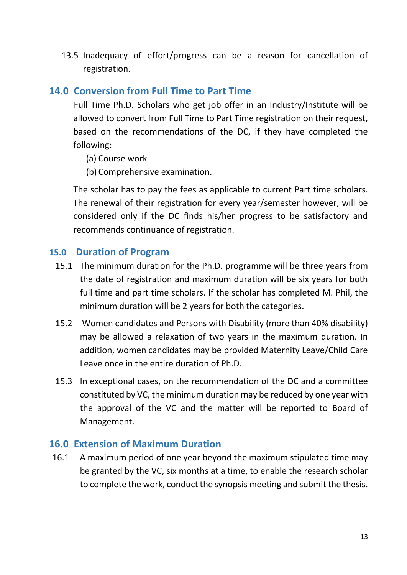13.5 Inadequacy of effort/progress can be a reason for cancellation of registration.

## <span id="page-12-0"></span>**14.0 Conversion from Full Time to Part Time**

Full Time Ph.D. Scholars who get job offer in an Industry/Institute will be allowed to convert from Full Time to Part Time registration on their request, based on the recommendations of the DC, if they have completed the following:

- (a) Course work
- (b) Comprehensive examination.

The scholar has to pay the fees as applicable to current Part time scholars. The renewal of their registration for every year/semester however, will be considered only if the DC finds his/her progress to be satisfactory and recommends continuance of registration.

#### <span id="page-12-1"></span>**15.0 Duration of Program**

- 15.1 The minimum duration for the Ph.D. programme will be three years from the date of registration and maximum duration will be six years for both full time and part time scholars. If the scholar has completed M. Phil, the minimum duration will be 2 years for both the categories.
- 15.2 Women candidates and Persons with Disability (more than 40% disability) may be allowed a relaxation of two years in the maximum duration. In addition, women candidates may be provided Maternity Leave/Child Care Leave once in the entire duration of Ph.D.
- 15.3 In exceptional cases, on the recommendation of the DC and a committee constituted by VC, the minimum duration may be reduced by one year with the approval of the VC and the matter will be reported to Board of Management.

#### <span id="page-12-2"></span>**16.0 Extension of Maximum Duration**

16.1 A maximum period of one year beyond the maximum stipulated time may be granted by the VC, six months at a time, to enable the research scholar to complete the work, conduct the synopsis meeting and submit the thesis.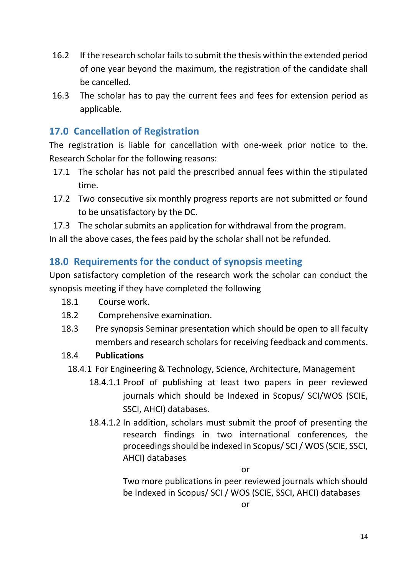- 16.2 If the research scholar fails to submit the thesis within the extended period of one year beyond the maximum, the registration of the candidate shall be cancelled.
- 16.3 The scholar has to pay the current fees and fees for extension period as applicable.

# <span id="page-13-0"></span>**17.0 Cancellation of Registration**

The registration is liable for cancellation with one-week prior notice to the. Research Scholar for the following reasons:

- 17.1 The scholar has not paid the prescribed annual fees within the stipulated time.
- 17.2 Two consecutive six monthly progress reports are not submitted or found to be unsatisfactory by the DC.
- 17.3 The scholar submits an application for withdrawal from the program.

In all the above cases, the fees paid by the scholar shall not be refunded.

## <span id="page-13-1"></span>**18.0 Requirements for the conduct of synopsis meeting**

Upon satisfactory completion of the research work the scholar can conduct the synopsis meeting if they have completed the following

- 18.1 Course work.
- 18.2 Comprehensive examination.
- 18.3 Pre synopsis Seminar presentation which should be open to all faculty members and research scholars for receiving feedback and comments.

#### 18.4 **Publications**

- 18.4.1 For Engineering & Technology, Science, Architecture, Management
	- 18.4.1.1 Proof of publishing at least two papers in peer reviewed journals which should be Indexed in Scopus/ SCI/WOS (SCIE, SSCI, AHCI) databases.
	- 18.4.1.2 In addition, scholars must submit the proof of presenting the research findings in two international conferences, the proceedings should be indexed in Scopus/ SCI / WOS (SCIE, SSCI, AHCI) databases

or

Two more publications in peer reviewed journals which should be Indexed in Scopus/ SCI / WOS (SCIE, SSCI, AHCI) databases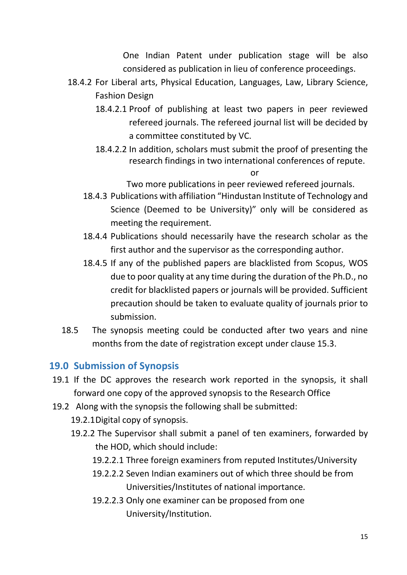One Indian Patent under publication stage will be also considered as publication in lieu of conference proceedings.

- 18.4.2 For Liberal arts, Physical Education, Languages, Law, Library Science, Fashion Design
	- 18.4.2.1 Proof of publishing at least two papers in peer reviewed refereed journals. The refereed journal list will be decided by a committee constituted by VC.
	- 18.4.2.2 In addition, scholars must submit the proof of presenting the research findings in two international conferences of repute.

or

Two more publications in peer reviewed refereed journals.

- 18.4.3 Publications with affiliation "Hindustan Institute of Technology and Science (Deemed to be University)" only will be considered as meeting the requirement.
- 18.4.4 Publications should necessarily have the research scholar as the first author and the supervisor as the corresponding author.
- 18.4.5 If any of the published papers are blacklisted from Scopus, WOS due to poor quality at any time during the duration of the Ph.D., no credit for blacklisted papers or journals will be provided. Sufficient precaution should be taken to evaluate quality of journals prior to submission.
- 18.5 The synopsis meeting could be conducted after two years and nine months from the date of registration except under clause 15.3.

# <span id="page-14-0"></span>**19.0 Submission of Synopsis**

- 19.1 If the DC approves the research work reported in the synopsis, it shall forward one copy of the approved synopsis to the Research Office
- 19.2 Along with the synopsis the following shall be submitted:
	- 19.2.1Digital copy of synopsis.
	- 19.2.2 The Supervisor shall submit a panel of ten examiners, forwarded by the HOD, which should include:
		- 19.2.2.1 Three foreign examiners from reputed Institutes/University
		- 19.2.2.2 Seven Indian examiners out of which three should be from Universities/Institutes of national importance.
		- 19.2.2.3 Only one examiner can be proposed from one University/Institution.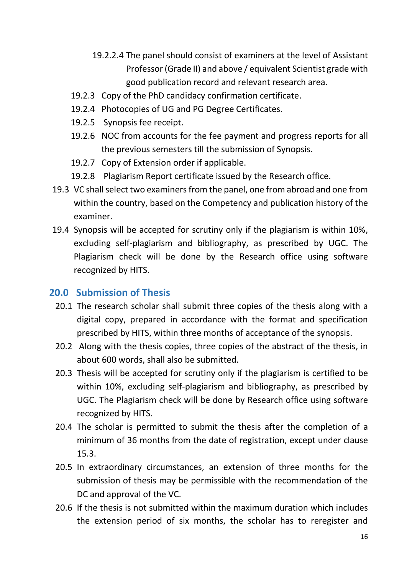- 19.2.2.4 The panel should consist of examiners at the level of Assistant Professor (Grade II) and above / equivalent Scientist grade with good publication record and relevant research area.
- 19.2.3 Copy of the PhD candidacy confirmation certificate.
- 19.2.4 Photocopies of UG and PG Degree Certificates.
- 19.2.5 Synopsis fee receipt.
- 19.2.6 NOC from accounts for the fee payment and progress reports for all the previous semesters till the submission of Synopsis.
- 19.2.7 Copy of Extension order if applicable.
- 19.2.8 Plagiarism Report certificate issued by the Research office.
- 19.3 VC shall select two examiners from the panel, one from abroad and one from within the country, based on the Competency and publication history of the examiner.
- 19.4 Synopsis will be accepted for scrutiny only if the plagiarism is within 10%, excluding self-plagiarism and bibliography, as prescribed by UGC. The Plagiarism check will be done by the Research office using software recognized by HITS.

#### <span id="page-15-0"></span>**20.0 Submission of Thesis**

- 20.1 The research scholar shall submit three copies of the thesis along with a digital copy, prepared in accordance with the format and specification prescribed by HITS, within three months of acceptance of the synopsis.
- 20.2 Along with the thesis copies, three copies of the abstract of the thesis, in about 600 words, shall also be submitted.
- 20.3 Thesis will be accepted for scrutiny only if the plagiarism is certified to be within 10%, excluding self-plagiarism and bibliography, as prescribed by UGC. The Plagiarism check will be done by Research office using software recognized by HITS.
- 20.4 The scholar is permitted to submit the thesis after the completion of a minimum of 36 months from the date of registration, except under clause 15.3.
- 20.5 In extraordinary circumstances, an extension of three months for the submission of thesis may be permissible with the recommendation of the DC and approval of the VC.
- 20.6 If the thesis is not submitted within the maximum duration which includes the extension period of six months, the scholar has to reregister and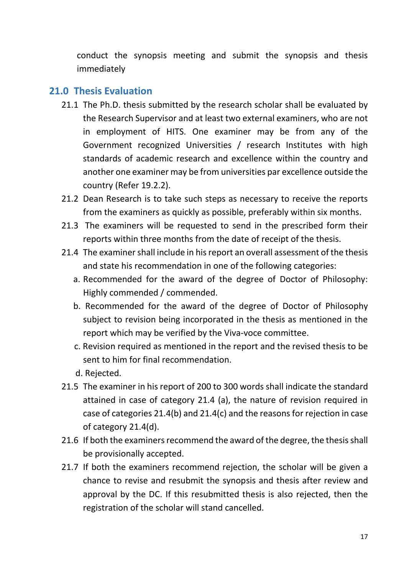conduct the synopsis meeting and submit the synopsis and thesis immediately

#### <span id="page-16-0"></span>**21.0 Thesis Evaluation**

- 21.1 The Ph.D. thesis submitted by the research scholar shall be evaluated by the Research Supervisor and at least two external examiners, who are not in employment of HITS. One examiner may be from any of the Government recognized Universities / research Institutes with high standards of academic research and excellence within the country and another one examiner may be from universities par excellence outside the country (Refer 19.2.2).
- 21.2 Dean Research is to take such steps as necessary to receive the reports from the examiners as quickly as possible, preferably within six months.
- 21.3 The examiners will be requested to send in the prescribed form their reports within three months from the date of receipt of the thesis.
- 21.4 The examiner shall include in his report an overall assessment of the thesis and state his recommendation in one of the following categories:
	- a. Recommended for the award of the degree of Doctor of Philosophy: Highly commended / commended.
	- b. Recommended for the award of the degree of Doctor of Philosophy subject to revision being incorporated in the thesis as mentioned in the report which may be verified by the Viva-voce committee.
	- c. Revision required as mentioned in the report and the revised thesis to be sent to him for final recommendation.
	- d. Rejected.
- 21.5 The examiner in his report of 200 to 300 words shall indicate the standard attained in case of category 21.4 (a), the nature of revision required in case of categories 21.4(b) and 21.4(c) and the reasons for rejection in case of category 21.4(d).
- 21.6 If both the examiners recommend the award of the degree, the thesis shall be provisionally accepted.
- 21.7 If both the examiners recommend rejection, the scholar will be given a chance to revise and resubmit the synopsis and thesis after review and approval by the DC. If this resubmitted thesis is also rejected, then the registration of the scholar will stand cancelled.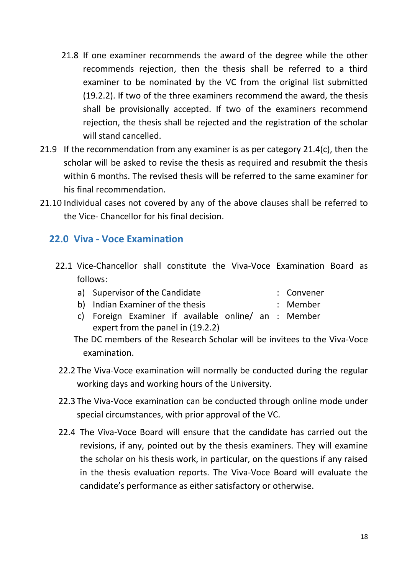- 21.8 If one examiner recommends the award of the degree while the other recommends rejection, then the thesis shall be referred to a third examiner to be nominated by the VC from the original list submitted (19.2.2). If two of the three examiners recommend the award, the thesis shall be provisionally accepted. If two of the examiners recommend rejection, the thesis shall be rejected and the registration of the scholar will stand cancelled.
- 21.9 If the recommendation from any examiner is as per category 21.4(c), then the scholar will be asked to revise the thesis as required and resubmit the thesis within 6 months. The revised thesis will be referred to the same examiner for his final recommendation.
- 21.10 Individual cases not covered by any of the above clauses shall be referred to the Vice- Chancellor for his final decision.

#### <span id="page-17-0"></span>**22.0 Viva - Voce Examination**

- 22.1 Vice-Chancellor shall constitute the Viva-Voce Examination Board as follows:
	- a) Supervisor of the Candidate : Convener
	- b) Indian Examiner of the thesis : Member
	- c) Foreign Examiner if available online/ an : Member expert from the panel in (19.2.2)
	- The DC members of the Research Scholar will be invitees to the Viva-Voce examination.
- 22.2 The Viva-Voce examination will normally be conducted during the regular working days and working hours of the University.
- 22.3 The Viva-Voce examination can be conducted through online mode under special circumstances, with prior approval of the VC.
- 22.4 The Viva-Voce Board will ensure that the candidate has carried out the revisions, if any, pointed out by the thesis examiners. They will examine the scholar on his thesis work, in particular, on the questions if any raised in the thesis evaluation reports. The Viva-Voce Board will evaluate the candidate's performance as either satisfactory or otherwise.